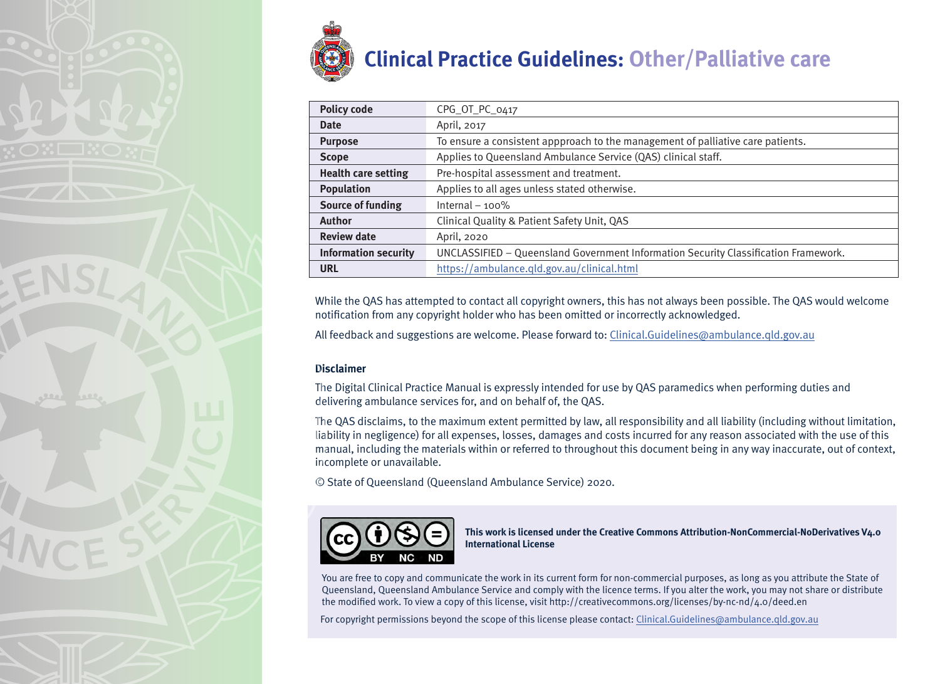

| <b>Policy code</b>          | CPG_OT_PC_0417                                                                      |
|-----------------------------|-------------------------------------------------------------------------------------|
| <b>Date</b>                 | April, 2017                                                                         |
| <b>Purpose</b>              | To ensure a consistent appproach to the management of palliative care patients.     |
| <b>Scope</b>                | Applies to Queensland Ambulance Service (QAS) clinical staff.                       |
| <b>Health care setting</b>  | Pre-hospital assessment and treatment.                                              |
| <b>Population</b>           | Applies to all ages unless stated otherwise.                                        |
| <b>Source of funding</b>    | Internal $-100\%$                                                                   |
| <b>Author</b>               | Clinical Quality & Patient Safety Unit, QAS                                         |
| <b>Review date</b>          | April, 2020                                                                         |
| <b>Information security</b> | UNCLASSIFIED - Queensland Government Information Security Classification Framework. |
| <b>URL</b>                  | https://ambulance.qld.gov.au/clinical.html                                          |

While the QAS has attempted to contact all copyright owners, this has not always been possible. The QAS would welcome notification from any copyright holder who has been omitted or incorrectly acknowledged.

All feedback and suggestions are welcome. Please forward to: Clinical.Guidelines@ambulance.qld.gov.au

#### **Disclaimer**

The Digital Clinical Practice Manual is expressly intended for use by QAS paramedics when performing duties and delivering ambulance services for, and on behalf of, the QAS.

The QAS disclaims, to the maximum extent permitted by law, all responsibility and all liability (including without limitation, liability in negligence) for all expenses, losses, damages and costs incurred for any reason associated with the use of this manual, including the materials within or referred to throughout this document being in any way inaccurate, out of context, incomplete or unavailable.

© State of Queensland (Queensland Ambulance Service) 2020.



**This work is licensed under the Creative Commons Attribution-NonCommercial-NoDerivatives V4.0 International License**

You are free to copy and communicate the work in its current form for non-commercial purposes, as long as you attribute the State of Queensland, Queensland Ambulance Service and comply with the licence terms. If you alter the work, you may not share or distribute the modified work. To view a copy of this license, visit http://creativecommons.org/licenses/by-nc-nd/4.0/deed.en

For copyright permissions beyond the scope of this license please contact: Clinical.Guidelines@ambulance.qld.gov.au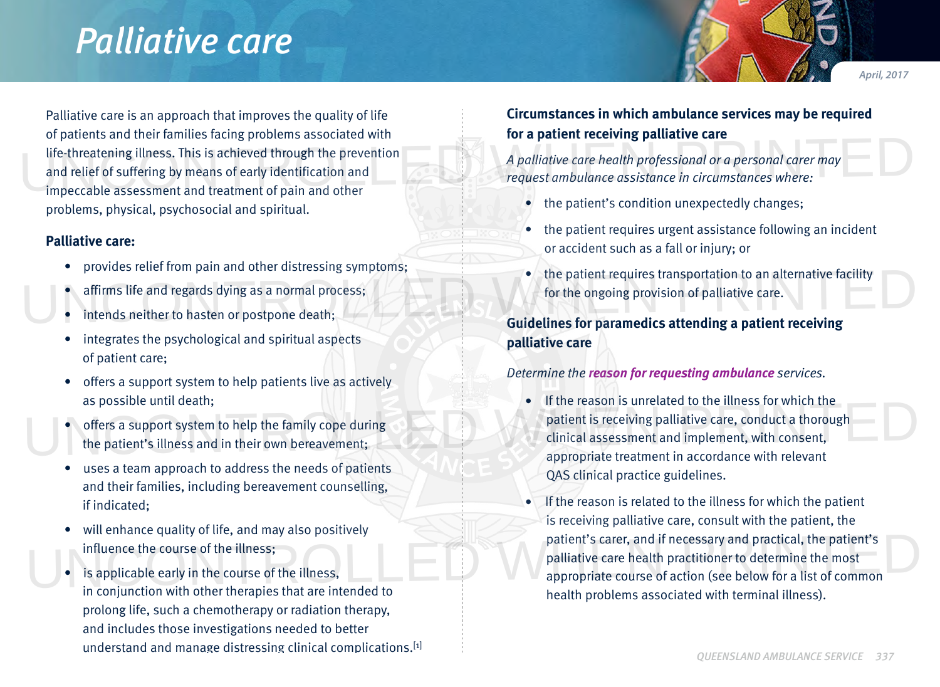# *Palliative care*

*April, 2017*

Palliative care is an approach that improves the quality of life of patients and their families facing problems associated with life-threatening illness. This is achieved through the prevention and relief of suffering by means of early identification and impeccable assessment and treatment of pain and other problems, physical, psychosocial and spiritual. Under particle control and the method. This is achieved through the prevention<br>and relief of suffering by means of early identification and<br>impectable assessment and treatment of pain and other<br>impectable assessment and tr

### **Palliative care:**

- provides relief from pain and other distressing symptoms;
- affirms life and regards dying as a normal process;
- intends neither to hasten or postpone death;
- integrates the psychological and spiritual aspects of patient care;
- offers a support system to help patients live as actively as possible until death;
- offers a support system to help the family cope during the patient's illness and in their own bereavement;
- uses a team approach to address the needs of patients and their families, including bereavement counselling, if indicated;
- will enhance quality of life, and may also positively influence the course of the illness;
- is applicable early in the course of the illness, in conjunction with other therapies that are intended to prolong life, such a chemotherapy or radiation therapy, and includes those investigations needed to better understand and manage distressing clinical complications.[1]

# **Circumstances in which ambulance services may be required for a patient receiving palliative care**

*A palliative care health professional or a personal carer may request ambulance assistance in circumstances where:*

- the patient's condition unexpectedly changes;
- the patient requires urgent assistance following an incident or accident such as a fall or injury; or
- the patient requires transportation to an alternative facility for the ongoing provision of palliative care. The provides refirms life and regards dying as a normal process;<br>
The patient requires transportation to an alternative facility<br>
intends neither to hasten or postpone death;<br>
The ongoing provision of palliative care.<br>
Cui

**Guidelines for paramedics attending a patient receiving palliative care**

# *Determine the reason for requesting ambulance services.*

- If the reason is unrelated to the illness for which the patient is receiving palliative care, conduct a thorough clinical assessment and implement, with consent, appropriate treatment in accordance with relevant QAS clinical practice guidelines. The reason is diretated to the inness for which the<br>
offers a support system to help the family cope during<br>
the patient's illness and in their own bereavement;<br>
the patient is receiving palliative care, conduct a thorough
- If the reason is related to the illness for which the patient is receiving palliative care, consult with the patient, the patient's carer, and if necessary and practical, the patient's palliative care health practitioner to determine the most appropriate course of action (see below for a list of common health problems associated with terminal illness). Influence the course of the illness;<br>is applicable early in the course of the illness,<br>is applicable early in the course of the illness,<br>is appropriate course of action (see below for a list of common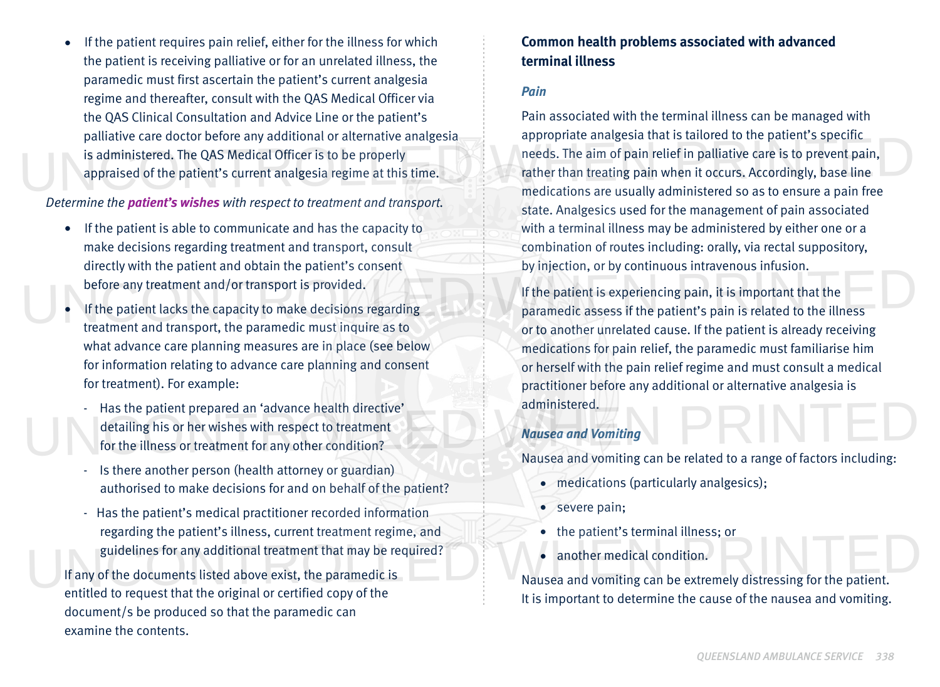If the patient requires pain relief, either for the illness for which the patient is receiving palliative or for an unrelated illness, the paramedic must first ascertain the patient's current analgesia regime and thereafter, consult with the QAS Medical Officer via the QAS Clinical Consultation and Advice Line or the patient's palliative care doctor before any additional or alternative analgesia is administered. The QAS Medical Officer is to be properly appraised of the patient's current analgesia regime at this time.

#### *Determine the patient's wishes with respect to treatment and transport.*

- If the patient is able to communicate and has the capacity to make decisions regarding treatment and transport, consult directly with the patient and obtain the patient's consent before any treatment and/or transport is provided.
- If the patient lacks the capacity to make decisions regarding treatment and transport, the paramedic must inquire as to what advance care planning measures are in place (see below for information relating to advance care planning and consent for treatment). For example:
- Has the patient prepared an 'advance health directive' detailing his or her wishes with respect to treatment for the illness or treatment for any other condition? Has the patient prepared an 'advance health directive' detailing his or her wishes with respect to treatment<br>for the illness or treatment for any other condition?<br>Nausea and Vomiting
	- Is there another person (health attorney or guardian) authorised to make decisions for and on behalf of the patient?
- Has the patient's medical practitioner recorded information regarding the patient's illness, current treatment regime, and guidelines for any additional treatment that may be required? If any of the documents listed above exist, the paramedic is<br>If any of the documents listed above exist, the paramedic is<br>Nausea and vomiting can be extremely distressing for the patient.

If any of the documents listed above exist, the paramedic is entitled to request that the original or certified copy of the document/s be produced so that the paramedic can examine the contents.

# **Common health problems associated with advanced terminal illness**

#### *Pain*

Pain associated with the terminal illness can be managed with appropriate analgesia that is tailored to the patient's specific needs. The aim of pain relief in palliative care is to prevent pain, rather than treating pain when it occurs. Accordingly, base line medications are usually administered so as to ensure a pain free state. Analgesics used for the management of pain associated with a terminal illness may be administered by either one or a combination of routes including: orally, via rectal suppository, by injection, or by continuous intravenous infusion. patitative care doctor before any additional of attentative analgesia and proppidule analgesia that is tantoted to the patient's specific<br>is administered. The QAS Medical Officer is to be properly<br>appraised of the patient'

If the patient is experiencing pain, it is important that the paramedic assess if the patient's pain is related to the illness or to another unrelated cause. If the patient is already receiving medications for pain relief, the paramedic must familiarise him or herself with the pain relief regime and must consult a medical practitioner before any additional or alternative analgesia is administered. before any treatment and/or transport is provided.<br>
If the patient is experiencing pain, it is important that the<br>
If the patient is experiencing pain, it is important that the<br>
paramedic assess if the patient's pain is re

#### *Nausea and Vomiting*

Nausea and vomiting can be related to a range of factors including:

- medications (particularly analgesics);
- severe pain;
- the patient's terminal illness; or
- another medical condition.

Nausea and vomiting can be extremely distressing for the patient. It is important to determine the cause of the nausea and vomiting.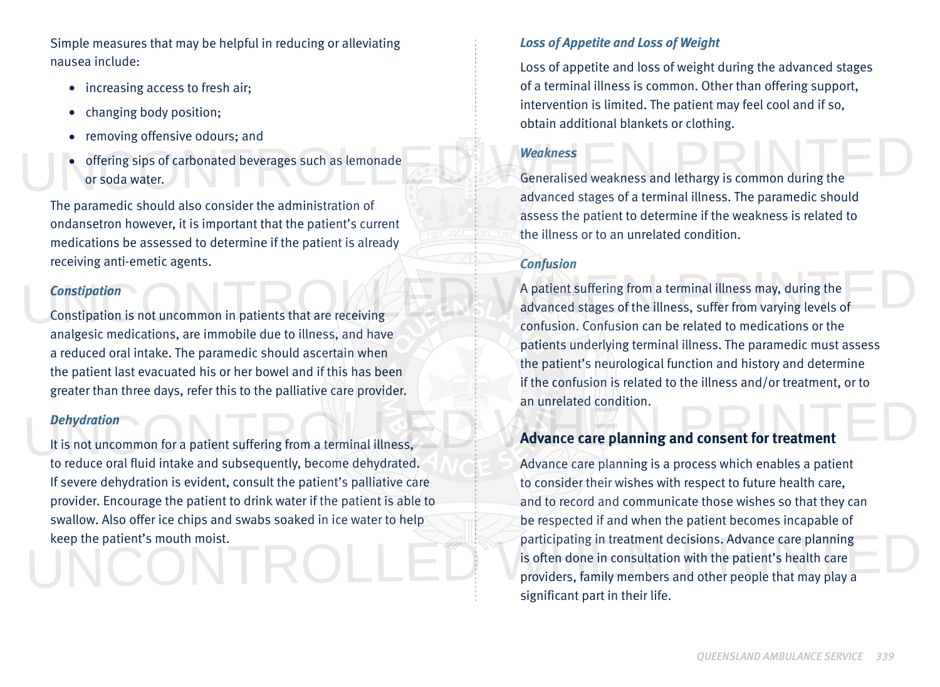Simple measures that may be helpful in reducing or alleviating nausea include:

- increasing access to fresh air;
- changing body position;
- removing offensive odours; and
- offering sips of carbonated beverages such as lemonade or soda water. • Temoving onensive odours; and<br>
• offering sips of carbonated beverages such as lemonade<br>
or soda water.<br>
Generalised weakness and lethargy is common during the

The paramedic should also consider the administration of ondansetron however, it is important that the patient's current medications be assessed to determine if the patient is already receiving anti-emetic agents.

# *Constipation*

Constipation is not uncommon in patients that are receiving analgesic medications, are immobile due to illness, and have a reduced oral intake. The paramedic should ascertain when the patient last evacuated his or her bowel and if this has been greater than three days, refer this to the palliative care provider.

#### *Dehydration*

It is not uncommon for a patient suffering from a terminal illness, to reduce oral fluid intake and subsequently, become dehydrated. If severe dehydration is evident, consult the patient's palliative care provider. Encourage the patient to drink water if the patient is able to swallow. Also offer ice chips and swabs soaked in ice water to help keep the patient's mouth moist. Dehydration<br>It is not uncommon for a patient suffering from a terminal illness,<br>Advance care planning and consent for treatment

# *Loss of Appetite and Loss of Weight*

Loss of appetite and loss of weight during the advanced stages of a terminal illness is common. Other than offering support, intervention is limited. The patient may feel cool and if so, obtain additional blankets or clothing.

## *Weakness*

Generalised weakness and lethargy is common during the advanced stages of a terminal illness. The paramedic should assess the patient to determine if the weakness is related to the illness or to an unrelated condition.

# *Confusion*

A patient suffering from a terminal illness may, during the advanced stages of the illness, suffer from varying levels of confusion. Confusion can be related to medications or the patients underlying terminal illness. The paramedic must assess the patient's neurological function and history and determine if the confusion is related to the illness and/or treatment, or to an unrelated condition. Constipation<br>Constipation is not uncommon in patients that are receiving<br>Constipation is not uncommon in patients that are receiving

# **Advance care planning and consent for treatment**

Advance care planning is a process which enables a patient to consider their wishes with respect to future health care, and to record and communicate those wishes so that they can be respected if and when the patient becomes incapable of participating in treatment decisions. Advance care planning is often done in consultation with the patient's health care providers, family members and other people that may play a significant part in their life. keep the patient's mouth moist.<br>
is often done in consultation with the patient's health care<br>
providers, family members and other people that may play a<br>
providers, family members and other people that may play a